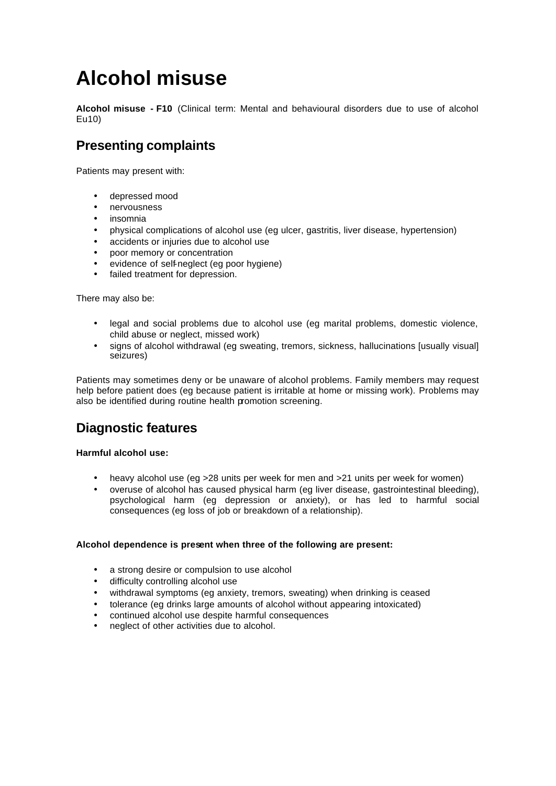# **Alcohol misuse**

**Alcohol misuse - F10** (Clinical term: Mental and behavioural disorders due to use of alcohol Eu10)

# **Presenting complaints**

Patients may present with:

- depressed mood
- nervousness
- insomnia
- physical complications of alcohol use (eg ulcer, gastritis, liver disease, hypertension)
- accidents or injuries due to alcohol use
- poor memory or concentration
- evidence of self-neglect (eg poor hygiene)
- failed treatment for depression.

There may also be:

- legal and social problems due to alcohol use (eg marital problems, domestic violence, child abuse or neglect, missed work)
- signs of alcohol withdrawal (eg sweating, tremors, sickness, hallucinations [usually visual] seizures)

Patients may sometimes deny or be unaware of alcohol problems. Family members may request help before patient does (eg because patient is irritable at home or missing work). Problems may also be identified during routine health promotion screening.

# **Diagnostic features**

# **Harmful alcohol use:**

- heavy alcohol use (eq > 28 units per week for men and > 21 units per week for women)
- overuse of alcohol has caused physical harm (eg liver disease, gastrointestinal bleeding), psychological harm (eg depression or anxiety), or has led to harmful social consequences (eg loss of job or breakdown of a relationship).

# **Alcohol dependence is present when three of the following are present:**

- a strong desire or compulsion to use alcohol
- difficulty controlling alcohol use
- withdrawal symptoms (eg anxiety, tremors, sweating) when drinking is ceased
- tolerance (eg drinks large amounts of alcohol without appearing intoxicated)
- continued alcohol use despite harmful consequences
- neglect of other activities due to alcohol.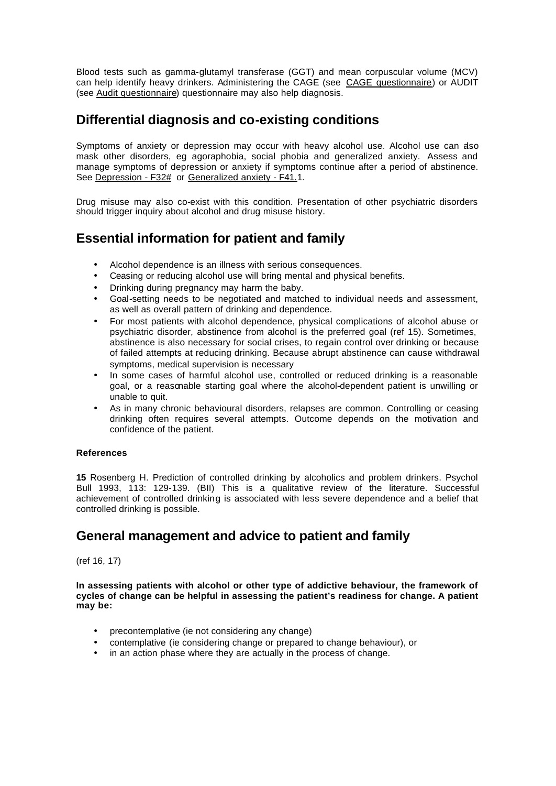Blood tests such as gamma-glutamyl transferase (GGT) and mean corpuscular volume (MCV) can help identify heavy drinkers. Administering the CAGE (see CAGE questionnaire) or AUDIT (see Audit questionnaire) questionnaire may also help diagnosis.

# **Differential diagnosis and co-existing conditions**

Symptoms of anxiety or depression may occur with heavy alcohol use. Alcohol use can also mask other disorders, eg agoraphobia, social phobia and generalized anxiety. Assess and manage symptoms of depression or anxiety if symptoms continue after a period of abstinence. See Depression - F32# or Generalized anxiety - F41.1.

Drug misuse may also co-exist with this condition. Presentation of other psychiatric disorders should trigger inquiry about alcohol and drug misuse history.

# **Essential information for patient and family**

- Alcohol dependence is an illness with serious consequences.
- Ceasing or reducing alcohol use will bring mental and physical benefits.
- Drinking during pregnancy may harm the baby.
- Goal-setting needs to be negotiated and matched to individual needs and assessment, as well as overall pattern of drinking and dependence.
- For most patients with alcohol dependence, physical complications of alcohol abuse or psychiatric disorder, abstinence from alcohol is the preferred goal (ref 15). Sometimes, abstinence is also necessary for social crises, to regain control over drinking or because of failed attempts at reducing drinking. Because abrupt abstinence can cause withdrawal symptoms, medical supervision is necessary
- In some cases of harmful alcohol use, controlled or reduced drinking is a reasonable goal, or a reasonable starting goal where the alcohol-dependent patient is unwilling or unable to quit.
- As in many chronic behavioural disorders, relapses are common. Controlling or ceasing drinking often requires several attempts. Outcome depends on the motivation and confidence of the patient.

# **References**

**15** Rosenberg H. Prediction of controlled drinking by alcoholics and problem drinkers. Psychol Bull 1993, 113: 129-139. (BII) This is a qualitative review of the literature. Successful achievement of controlled drinking is associated with less severe dependence and a belief that controlled drinking is possible.

# **General management and advice to patient and family**

(ref 16, 17)

**In assessing patients with alcohol or other type of addictive behaviour, the framework of cycles of change can be helpful in assessing the patient's readiness for change. A patient may be:**

- precontemplative (ie not considering any change)
- contemplative (ie considering change or prepared to change behaviour), or
- in an action phase where they are actually in the process of change.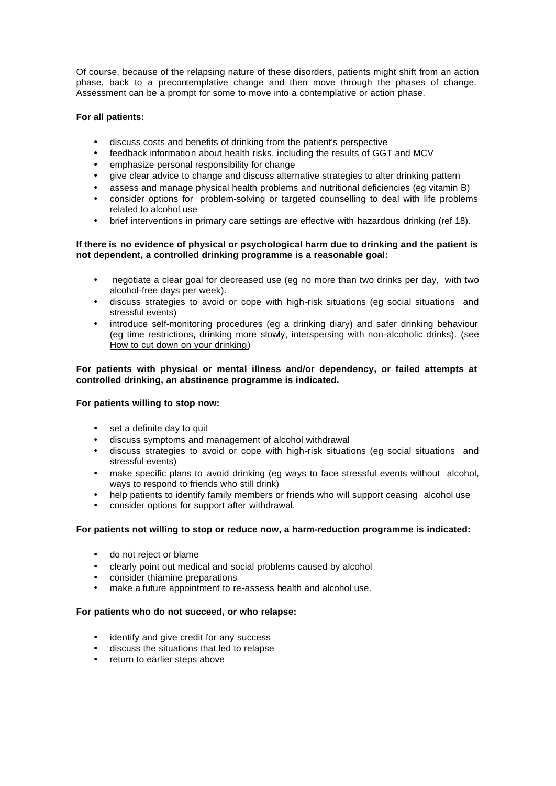Of course, because of the relapsing nature of these disorders, patients might shift from an action phase, back to a precontemplative change and then move through the phases of change. Assessment can be a prompt for some to move into a contemplative or action phase.

## **For all patients:**

- discuss costs and benefits of drinking from the patient's perspective
- feedback information about health risks, including the results of GGT and MCV
- emphasize personal responsibility for change
- give clear advice to change and discuss alternative strategies to alter drinking pattern
- assess and manage physical health problems and nutritional deficiencies (eg vitamin B)
- consider options for problem-solving or targeted counselling to deal with life problems related to alcohol use
- brief interventions in primary care settings are effective with hazardous drinking (ref 18).

### **If there is no evidence of physical or psychological harm due to drinking and the patient is not dependent, a controlled drinking programme is a reasonable goal:**

- negotiate a clear goal for decreased use (eg no more than two drinks per day, with two alcohol-free days per week).
- discuss strategies to avoid or cope with high-risk situations (eg social situations and stressful events)
- introduce self-monitoring procedures (eg a drinking diary) and safer drinking behaviour (eg time restrictions, drinking more slowly, interspersing with non-alcoholic drinks). (see How to cut down on your drinking)

### **For patients with physical or mental illness and/or dependency, or failed attempts at controlled drinking, an abstinence programme is indicated.**

### **For patients willing to stop now:**

- set a definite day to quit
- discuss symptoms and management of alcohol withdrawal
- discuss strategies to avoid or cope with high-risk situations (eg social situations and stressful events)
- make specific plans to avoid drinking (eg ways to face stressful events without alcohol, ways to respond to friends who still drink)
- help patients to identify family members or friends who will support ceasing alcohol use
- consider options for support after withdrawal.

### **For patients not willing to stop or reduce now, a harm-reduction programme is indicated:**

- do not reject or blame
- clearly point out medical and social problems caused by alcohol
- consider thiamine preparations
- make a future appointment to re-assess health and alcohol use.

### **For patients who do not succeed, or who relapse:**

- identify and give credit for any success
- discuss the situations that led to relapse
- return to earlier steps above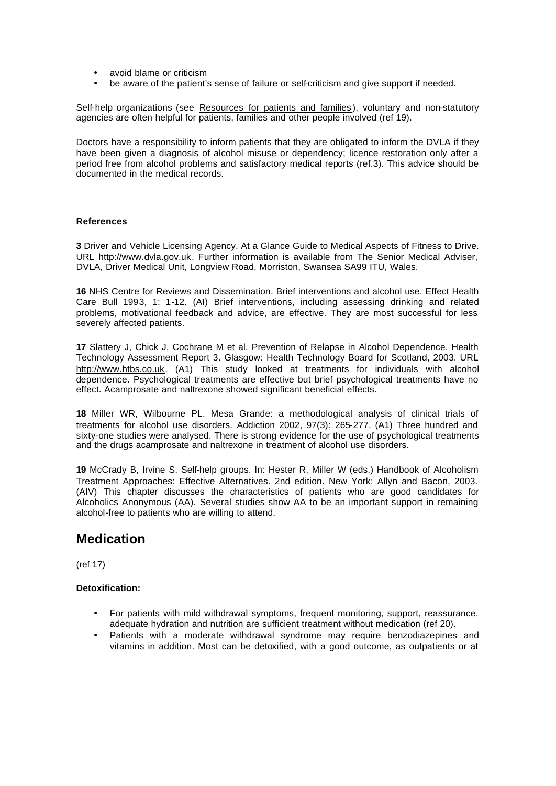- avoid blame or criticism
- be aware of the patient's sense of failure or self-criticism and give support if needed.

Self-help organizations (see Resources for patients and families), voluntary and non-statutory agencies are often helpful for patients, families and other people involved (ref 19).

Doctors have a responsibility to inform patients that they are obligated to inform the DVLA if they have been given a diagnosis of alcohol misuse or dependency; licence restoration only after a period free from alcohol problems and satisfactory medical reports (ref.3). This advice should be documented in the medical records.

#### **References**

**3** Driver and Vehicle Licensing Agency. At a Glance Guide to Medical Aspects of Fitness to Drive. URL http://www.dvla.gov.uk. Further information is available from The Senior Medical Adviser, DVLA, Driver Medical Unit, Longview Road, Morriston, Swansea SA99 ITU, Wales.

**16** NHS Centre for Reviews and Dissemination. Brief interventions and alcohol use. Effect Health Care Bull 1993, 1: 1-12. (AI) Brief interventions, including assessing drinking and related problems, motivational feedback and advice, are effective. They are most successful for less severely affected patients.

**17** Slattery J, Chick J, Cochrane M et al. Prevention of Relapse in Alcohol Dependence. Health Technology Assessment Report 3. Glasgow: Health Technology Board for Scotland, 2003. URL http://www.htbs.co.uk. (A1) This study looked at treatments for individuals with alcohol dependence. Psychological treatments are effective but brief psychological treatments have no effect. Acamprosate and naltrexone showed significant beneficial effects.

**18** Miller WR, Wilbourne PL. Mesa Grande: a methodological analysis of clinical trials of treatments for alcohol use disorders. Addiction 2002, 97(3): 265-277. (A1) Three hundred and sixty-one studies were analysed. There is strong evidence for the use of psychological treatments and the drugs acamprosate and naltrexone in treatment of alcohol use disorders.

**19** McCrady B, Irvine S. Self-help groups. In: Hester R, Miller W (eds.) Handbook of Alcoholism Treatment Approaches: Effective Alternatives. 2nd edition. New York: Allyn and Bacon, 2003. (AIV) This chapter discusses the characteristics of patients who are good candidates for Alcoholics Anonymous (AA). Several studies show AA to be an important support in remaining alcohol-free to patients who are willing to attend.

# **Medication**

(ref 17)

## **Detoxification:**

- For patients with mild withdrawal symptoms, frequent monitoring, support, reassurance, adequate hydration and nutrition are sufficient treatment without medication (ref 20).
- Patients with a moderate withdrawal syndrome may require benzodiazepines and vitamins in addition. Most can be detoxified, with a good outcome, as outpatients or at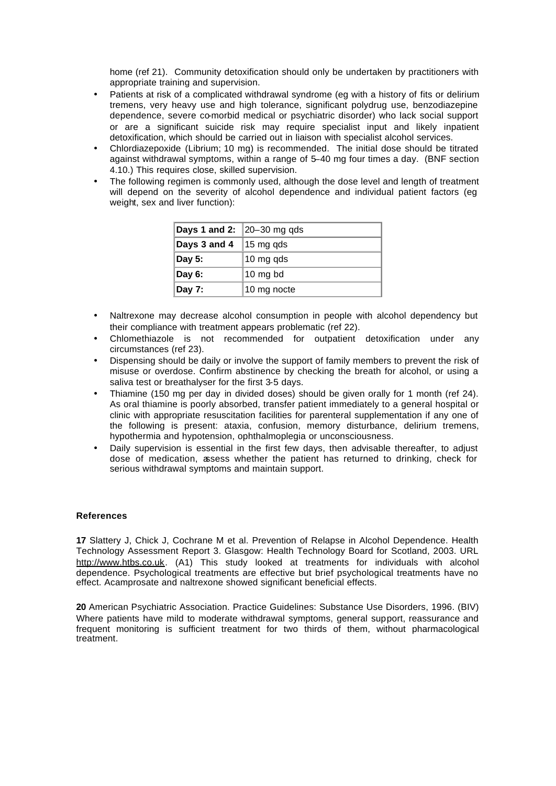home (ref 21). Community detoxification should only be undertaken by practitioners with appropriate training and supervision.

- Patients at risk of a complicated withdrawal syndrome (eg with a history of fits or delirium tremens, very heavy use and high tolerance, significant polydrug use, benzodiazepine dependence, severe co-morbid medical or psychiatric disorder) who lack social support or are a significant suicide risk may require specialist input and likely inpatient detoxification, which should be carried out in liaison with specialist alcohol services.
- Chlordiazepoxide (Librium; 10 mg) is recommended. The initial dose should be titrated against withdrawal symptoms, within a range of 5–40 mg four times a day. (BNF section 4.10.) This requires close, skilled supervision.
- The following regimen is commonly used, although the dose level and length of treatment will depend on the severity of alcohol dependence and individual patient factors (eg weight, sex and liver function):

| <b>Days 1 and 2:</b> $\left 20-30\right\rangle$ mg qds |                      |
|--------------------------------------------------------|----------------------|
| Days 3 and 4                                           | $ 15 \text{ mg}$ qds |
| Day 5:                                                 | 10 mg qds            |
| Day 6:                                                 | $ 10 \text{ mg bd} $ |
| Day 7:                                                 | 10 mg nocte          |

- Naltrexone may decrease alcohol consumption in people with alcohol dependency but their compliance with treatment appears problematic (ref 22).
- Chlomethiazole is not recommended for outpatient detoxification under any circumstances (ref 23).
- Dispensing should be daily or involve the support of family members to prevent the risk of misuse or overdose. Confirm abstinence by checking the breath for alcohol, or using a saliva test or breathalyser for the first 3-5 days.
- Thiamine (150 mg per day in divided doses) should be given orally for 1 month (ref 24). As oral thiamine is poorly absorbed, transfer patient immediately to a general hospital or clinic with appropriate resuscitation facilities for parenteral supplementation if any one of the following is present: ataxia, confusion, memory disturbance, delirium tremens, hypothermia and hypotension, ophthalmoplegia or unconsciousness.
- Daily supervision is essential in the first few days, then advisable thereafter, to adjust dose of medication, assess whether the patient has returned to drinking, check for serious withdrawal symptoms and maintain support.

### **References**

**17** Slattery J, Chick J, Cochrane M et al. Prevention of Relapse in Alcohol Dependence. Health Technology Assessment Report 3. Glasgow: Health Technology Board for Scotland, 2003. URL http://www.htbs.co.uk. (A1) This study looked at treatments for individuals with alcohol dependence. Psychological treatments are effective but brief psychological treatments have no effect. Acamprosate and naltrexone showed significant beneficial effects.

**20** American Psychiatric Association. Practice Guidelines: Substance Use Disorders, 1996. (BIV) Where patients have mild to moderate withdrawal symptoms, general support, reassurance and frequent monitoring is sufficient treatment for two thirds of them, without pharmacological treatment.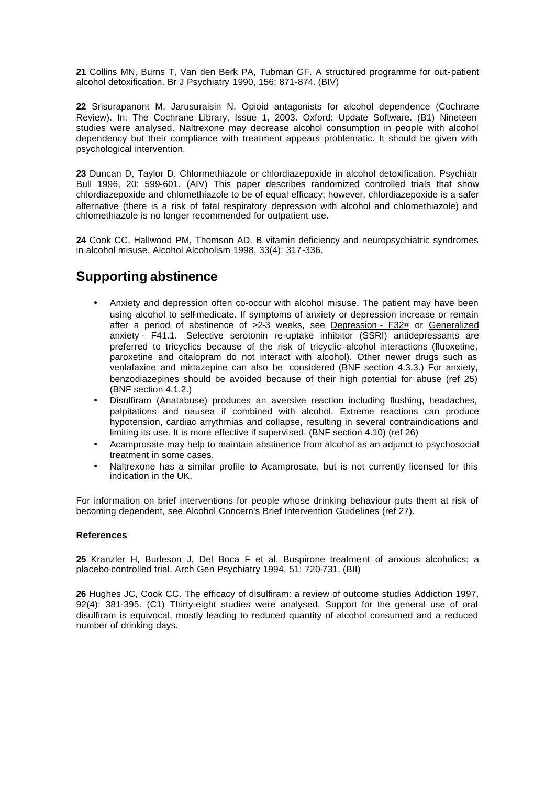**21** Collins MN, Burns T, Van den Berk PA, Tubman GF. A structured programme for out-patient alcohol detoxification. Br J Psychiatry 1990, 156: 871-874. (BIV)

**22** Srisurapanont M, Jarusuraisin N. Opioid antagonists for alcohol dependence (Cochrane Review). In: The Cochrane Library, Issue 1, 2003. Oxford: Update Software. (B1) Nineteen studies were analysed. Naltrexone may decrease alcohol consumption in people with alcohol dependency but their compliance with treatment appears problematic. It should be given with psychological intervention.

**23** Duncan D, Taylor D. Chlormethiazole or chlordiazepoxide in alcohol detoxification. Psychiatr Bull 1996, 20: 599-601. (AIV) This paper describes randomized controlled trials that show chlordiazepoxide and chlomethiazole to be of equal efficacy; however, chlordiazepoxide is a safer alternative (there is a risk of fatal respiratory depression with alcohol and chlomethiazole) and chlomethiazole is no longer recommended for outpatient use.

**24** Cook CC, Hallwood PM, Thomson AD. B vitamin deficiency and neuropsychiatric syndromes in alcohol misuse. Alcohol Alcoholism 1998, 33(4): 317-336.

# **Supporting abstinence**

- Anxiety and depression often co-occur with alcohol misuse. The patient may have been using alcohol to self-medicate. If symptoms of anxiety or depression increase or remain after a period of abstinence of >2-3 weeks, see Depression - F32# or Generalized anxiety - F41.1. Selective serotonin re-uptake inhibitor (SSRI) antidepressants are preferred to tricyclics because of the risk of tricyclic–alcohol interactions (fluoxetine, paroxetine and citalopram do not interact with alcohol). Other newer drugs such as venlafaxine and mirtazepine can also be considered (BNF section 4.3.3.) For anxiety, benzodiazepines should be avoided because of their high potential for abuse (ref 25) (BNF section 4.1.2.)
- Disulfiram (Anatabuse) produces an aversive reaction including flushing, headaches, palpitations and nausea if combined with alcohol. Extreme reactions can produce hypotension, cardiac arrythmias and collapse, resulting in several contraindications and limiting its use. It is more effective if supervised. (BNF section 4.10) (ref 26)
- Acamprosate may help to maintain abstinence from alcohol as an adjunct to psychosocial treatment in some cases.
- Naltrexone has a similar profile to Acamprosate, but is not currently licensed for this indication in the UK.

For information on brief interventions for people whose drinking behaviour puts them at risk of becoming dependent, see Alcohol Concern's Brief Intervention Guidelines (ref 27).

### **References**

**25** Kranzler H, Burleson J, Del Boca F et al. Buspirone treatment of anxious alcoholics: a placebo-controlled trial. Arch Gen Psychiatry 1994, 51: 720-731. (BII)

**26** Hughes JC, Cook CC. The efficacy of disulfiram: a review of outcome studies Addiction 1997, 92(4): 381-395. (C1) Thirty-eight studies were analysed. Support for the general use of oral disulfiram is equivocal, mostly leading to reduced quantity of alcohol consumed and a reduced number of drinking days.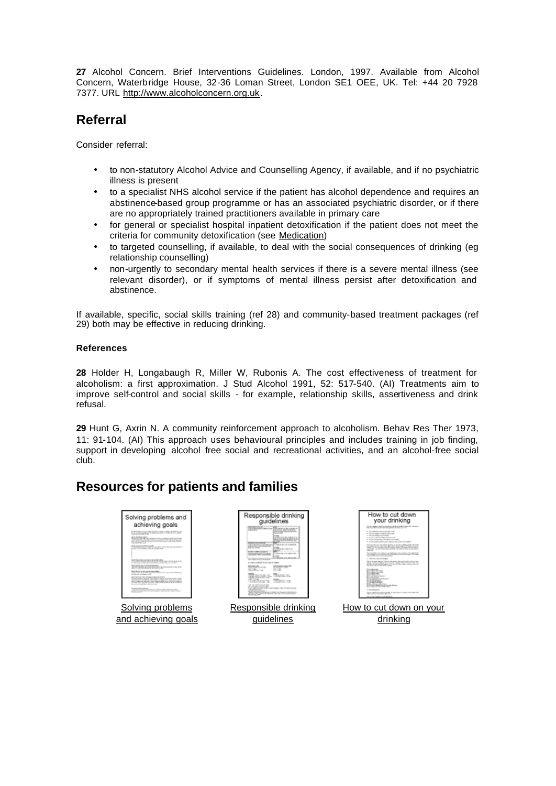**27** Alcohol Concern. Brief Interventions Guidelines. London, 1997. Available from Alcohol Concern, Waterbridge House, 32-36 Loman Street, London SE1 OEE, UK. Tel: +44 20 7928 7377. URL http://www.alcoholconcern.org.uk.

# **Referral**

Consider referral:

- to non-statutory Alcohol Advice and Counselling Agency, if available, and if no psychiatric illness is present
- to a specialist NHS alcohol service if the patient has alcohol dependence and requires an abstinence-based group programme or has an associated psychiatric disorder, or if there are no appropriately trained practitioners available in primary care
- for general or specialist hospital inpatient detoxification if the patient does not meet the criteria for community detoxification (see Medication)
- to targeted counselling, if available, to deal with the social consequences of drinking (eg relationship counselling)
- non-urgently to secondary mental health services if there is a severe mental illness (see relevant disorder), or if symptoms of mental illness persist after detoxification and abstinence.

If available, specific, social skills training (ref 28) and community-based treatment packages (ref 29) both may be effective in reducing drinking.

# **References**

**28** Holder H, Longabaugh R, Miller W, Rubonis A. The cost effectiveness of treatment for alcoholism: a first approximation. J Stud Alcohol 1991, 52: 517-540. (AI) Treatments aim to improve self-control and social skills - for example, relationship skills, assertiveness and drink refusal.

**29** Hunt G, Axrin N. A community reinforcement approach to alcoholism. Behav Res Ther 1973, 11: 91-104. (AI) This approach uses behavioural principles and includes training in job finding, support in developing alcohol free social and recreational activities, and an alcohol-free social club.

# **Resources for patients and families**